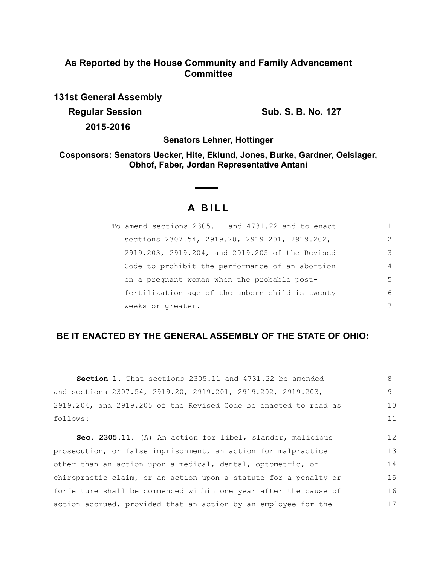# **As Reported by the House Community and Family Advancement Committee**

**131st General Assembly Regular Session Sub. S. B. No. 127** 

**2015-2016**

**Senators Lehner, Hottinger**

**Cosponsors: Senators Uecker, Hite, Eklund, Jones, Burke, Gardner, Oelslager, Obhof, Faber, Jordan Representative Antani**

# **A B I L L**

 $\sim$  $\sim$ 

| To amend sections 2305.11 and 4731.22 and to enact |                |
|----------------------------------------------------|----------------|
| sections 2307.54, 2919.20, 2919.201, 2919.202,     | $\mathcal{L}$  |
| 2919.203, 2919.204, and 2919.205 of the Revised    | 3              |
| Code to prohibit the performance of an abortion    | $\overline{4}$ |
| on a pregnant woman when the probable post-        | 5              |
| fertilization age of the unborn child is twenty    | 6              |
| weeks or greater.                                  | 7              |

## **BE IT ENACTED BY THE GENERAL ASSEMBLY OF THE STATE OF OHIO:**

| Section 1. That sections 2305.11 and 4731.22 be amended          | 8  |
|------------------------------------------------------------------|----|
| and sections 2307.54, 2919.20, 2919.201, 2919.202, 2919.203,     | 9  |
| 2919.204, and 2919.205 of the Revised Code be enacted to read as | 10 |
| follows:                                                         | 11 |
| Sec. 2305.11. (A) An action for libel, slander, malicious        | 12 |
| prosecution, or false imprisonment, an action for malpractice    | 13 |
| other than an action upon a medical, dental, optometric, or      | 14 |
| chiropractic claim, or an action upon a statute for a penalty or | 15 |
| forfeiture shall be commenced within one year after the cause of | 16 |
| action accrued, provided that an action by an employee for the   | 17 |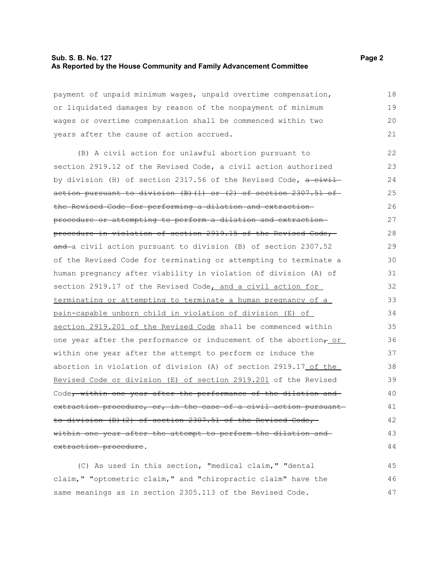## **Sub. S. B. No. 127 Page 2 As Reported by the House Community and Family Advancement Committee**

payment of unpaid minimum wages, unpaid overtime compensation, or liquidated damages by reason of the nonpayment of minimum wages or overtime compensation shall be commenced within two years after the cause of action accrued.

(B) A civil action for unlawful abortion pursuant to section 2919.12 of the Revised Code, a civil action authorized by division (H) of section 2317.56 of the Revised Code,  $a$  civilaction pursuant to division (B)(1) or (2) of section 2307.51 of the Revised Code for performing a dilation and extraction procedure or attempting to perform a dilation and extraction procedure in violation of section 2919.15 of the Revised Code, and a civil action pursuant to division (B) of section 2307.52 of the Revised Code for terminating or attempting to terminate a human pregnancy after viability in violation of division (A) of section 2919.17 of the Revised Code, and a civil action for terminating or attempting to terminate a human pregnancy of a pain-capable unborn child in violation of division (E) of section 2919.201 of the Revised Code shall be commenced within one year after the performance or inducement of the abortion<sub>7\_Or\_</sub> within one year after the attempt to perform or induce the abortion in violation of division (A) of section 2919.17 of the Revised Code or division (E) of section 2919.201 of the Revised Code, within one year after the performance of the dilation and extraction procedure, or, in the case of a civil action pursuant to division (B)(2) of section 2307.51 of the Revised Code, within one year after the attempt to perform the dilation and extraction procedure. 22 23 24 25 26 27 28 29 30 31 32 33 34 35 36 37 38 39 40 41 42 43 44

(C) As used in this section, "medical claim," "dental claim," "optometric claim," and "chiropractic claim" have the same meanings as in section 2305.113 of the Revised Code. 45 46 47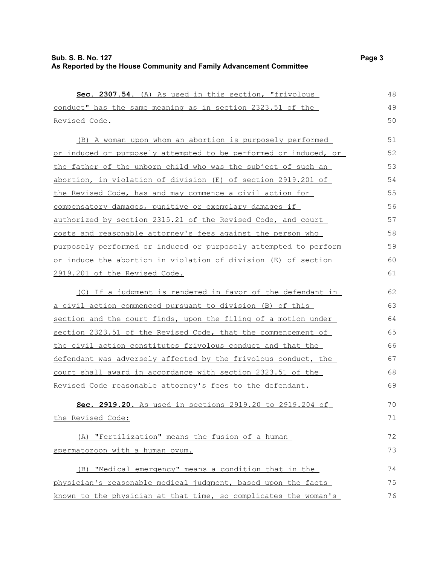Revised Code.

 **Sec. 2307.54.** (A) As used in this section, "frivolous conduct" has the same meaning as in section 2323.51 of the (B) A woman upon whom an abortion is purposely performed or induced or purposely attempted to be performed or induced, or the father of the unborn child who was the subject of such an abortion, in violation of division (E) of section 2919.201 of the Revised Code, has and may commence a civil action for compensatory damages, punitive or exemplary damages if authorized by section 2315.21 of the Revised Code, and court costs and reasonable attorney's fees against the person who purposely performed or induced or purposely attempted to perform or induce the abortion in violation of division (E) of section 2919.201 of the Revised Code. (C) If a judgment is rendered in favor of the defendant in a civil action commenced pursuant to division (B) of this section and the court finds, upon the filing of a motion under section 2323.51 of the Revised Code, that the commencement of the civil action constitutes frivolous conduct and that the defendant was adversely affected by the frivolous conduct, the 48 49 50 51 52 53 54 55 56 57 58 59 60 61 62 63 64 65 66 67

court shall award in accordance with section 2323.51 of the Revised Code reasonable attorney's fees to the defendant. **Sec. 2919.20.** As used in sections 2919.20 to 2919.204 of the Revised Code: (A) "Fertilization" means the fusion of a human spermatozoon with a human ovum. (B) "Medical emergency" means a condition that in the 68 69 70 71 72 73 74

 physician's reasonable medical judgment, based upon the facts known to the physician at that time, so complicates the woman's 75 76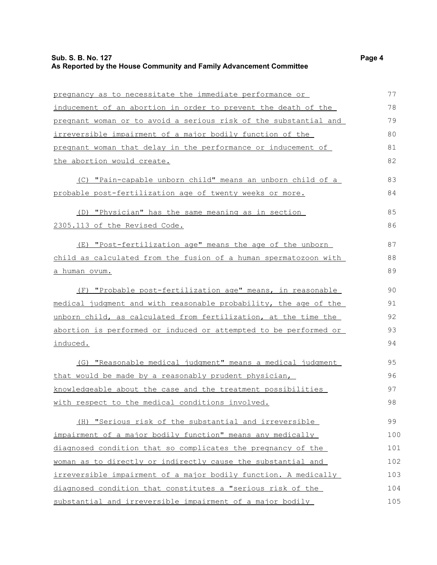## **Sub. S. B. No. 127 Page 4 As Reported by the House Community and Family Advancement Committee**

| pregnancy as to necessitate the immediate performance or         | 77  |
|------------------------------------------------------------------|-----|
| inducement of an abortion in order to prevent the death of the   | 78  |
| pregnant woman or to avoid a serious risk of the substantial and | 79  |
| irreversible impairment of a major bodily function of the        | 80  |
| pregnant woman that delay in the performance or inducement of    | 81  |
| the abortion would create.                                       | 82  |
| (C) "Pain-capable unborn child" means an unborn child of a       | 83  |
| probable post-fertilization age of twenty weeks or more.         | 84  |
| (D) "Physician" has the same meaning as in section               | 85  |
| 2305.113 of the Revised Code.                                    | 86  |
| (E) "Post-fertilization age" means the age of the unborn         | 87  |
| child as calculated from the fusion of a human spermatozoon with | 88  |
| <u>a human ovum.</u>                                             | 89  |
| (F) "Probable post-fertilization age" means, in reasonable       | 90  |
| medical judgment and with reasonable probability, the age of the | 91  |
| unborn child, as calculated from fertilization, at the time the  | 92  |
| abortion is performed or induced or attempted to be performed or | 93  |
| <u>induced.</u>                                                  | 94  |
| (G) "Reasonable medical judgment" means a medical judgment       | 95  |
| that would be made by a reasonably prudent physician,            | 96  |
| knowledgeable about the case and the treatment possibilities     | 97  |
| with respect to the medical conditions involved.                 | 98  |
| (H) "Serious risk of the substantial and irreversible            | 99  |
| impairment of a major bodily function" means any medically       | 100 |
| diagnosed condition that so complicates the pregnancy of the     | 101 |
| woman as to directly or indirectly cause the substantial and     | 102 |
| irreversible impairment of a major bodily function. A medically  | 103 |
| diagnosed condition that constitutes a "serious risk of the      | 104 |
| substantial and irreversible impairment of a major bodily        | 105 |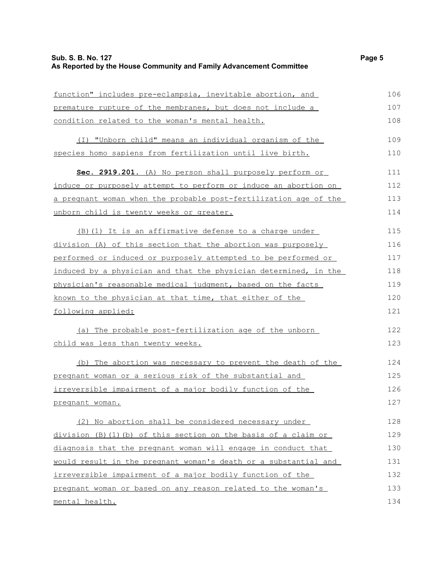## **Sub. S. B. No. 127 Page 5 As Reported by the House Community and Family Advancement Committee**

function" includes pre-eclampsia, inevitable abortion, and premature rupture of the membranes, but does not include a condition related to the woman's mental health. (I) "Unborn child" means an individual organism of the species homo sapiens from fertilization until live birth. **Sec. 2919.201.** (A) No person shall purposely perform or induce or purposely attempt to perform or induce an abortion on a pregnant woman when the probable post-fertilization age of the unborn child is twenty weeks or greater. (B)(1) It is an affirmative defense to a charge under division (A) of this section that the abortion was purposely performed or induced or purposely attempted to be performed or induced by a physician and that the physician determined, in the physician's reasonable medical judgment, based on the facts known to the physician at that time, that either of the following applied: (a) The probable post-fertilization age of the unborn child was less than twenty weeks. (b) The abortion was necessary to prevent the death of the pregnant woman or a serious risk of the substantial and irreversible impairment of a major bodily function of the pregnant woman. (2) No abortion shall be considered necessary under division (B)(1)(b) of this section on the basis of a claim or diagnosis that the pregnant woman will engage in conduct that would result in the pregnant woman's death or a substantial and irreversible impairment of a major bodily function of the pregnant woman or based on any reason related to the woman's 106 107 108 109 110 111 112 113 114 115 116 117 118 119 120 121 122 123 124 125 126 127 128 129 130 131 132 133

mental health.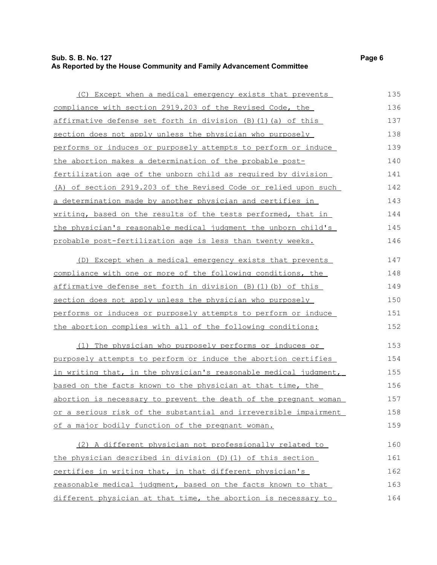## **Sub. S. B. No. 127 Page 6 As Reported by the House Community and Family Advancement Committee**

| (C) Except when a medical emergency exists that prevents                | 135 |
|-------------------------------------------------------------------------|-----|
| compliance with section 2919.203 of the Revised Code, the               | 136 |
| <u>affirmative defense set forth in division (B)(1)(a) of this</u>      | 137 |
| section does not apply unless the physician who purposely               | 138 |
| performs or induces or purposely attempts to perform or induce          | 139 |
| the abortion makes a determination of the probable post-                | 140 |
| fertilization age of the unborn child as required by division           | 141 |
| (A) of section 2919.203 of the Revised Code or relied upon such         | 142 |
| a determination made by another physician and certifies in              | 143 |
| writing, based on the results of the tests performed, that in           | 144 |
| the physician's reasonable medical judgment the unborn child's          | 145 |
| probable post-fertilization age is less than twenty weeks.              | 146 |
| (D) Except when a medical emergency exists that prevents                | 147 |
| compliance with one or more of the following conditions, the            | 148 |
| affirmative defense set forth in division (B)(1)(b) of this             | 149 |
| section does not apply unless the physician who purposely               | 150 |
| performs or induces or purposely attempts to perform or induce          | 151 |
| the abortion complies with all of the following conditions:             | 152 |
| (1) The physician who purposely performs or induces or                  | 153 |
| purposely attempts to perform or induce the abortion certifies          | 154 |
| in writing that, in the physician's reasonable medical judgment,        | 155 |
| based on the facts known to the physician at that time, the             | 156 |
| <u>abortion is necessary to prevent the death of the pregnant woman</u> | 157 |
| or a serious risk of the substantial and irreversible impairment        | 158 |
| of a major bodily function of the pregnant woman.                       | 159 |
| (2) A different physician not professionally related to                 | 160 |
| the physician described in division (D) (1) of this section             | 161 |
| certifies in writing that, in that different physician's                | 162 |
| reasonable medical judgment, based on the facts known to that           | 163 |

different physician at that time, the abortion is necessary to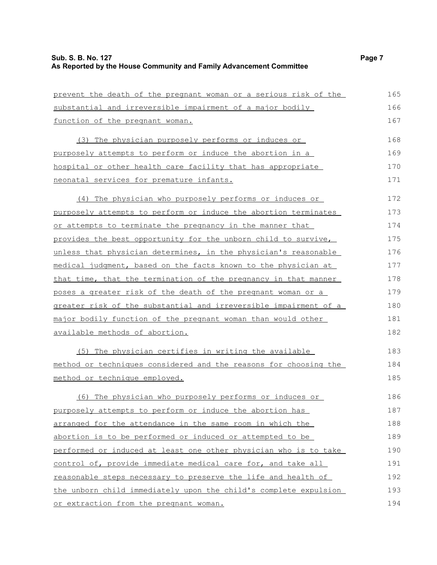prevent the death of the pregnant woman or a serious risk of the substantial and irreversible impairment of a major bodily function of the pregnant woman. (3) The physician purposely performs or induces or purposely attempts to perform or induce the abortion in a hospital or other health care facility that has appropriate neonatal services for premature infants. (4) The physician who purposely performs or induces or purposely attempts to perform or induce the abortion terminates or attempts to terminate the pregnancy in the manner that provides the best opportunity for the unborn child to survive, unless that physician determines, in the physician's reasonable medical judgment, based on the facts known to the physician at that time, that the termination of the pregnancy in that manner poses a greater risk of the death of the pregnant woman or a greater risk of the substantial and irreversible impairment of a major bodily function of the pregnant woman than would other available methods of abortion. (5) The physician certifies in writing the available method or techniques considered and the reasons for choosing the method or technique employed. 165 166 167 168 169 170 171 172 173 174 175 176 177 178 179 180 181 182 183 184 185

(6) The physician who purposely performs or induces or purposely attempts to perform or induce the abortion has arranged for the attendance in the same room in which the abortion is to be performed or induced or attempted to be performed or induced at least one other physician who is to take control of, provide immediate medical care for, and take all reasonable steps necessary to preserve the life and health of the unborn child immediately upon the child's complete expulsion or extraction from the pregnant woman. 186 187 188 189 190 191 192 193 194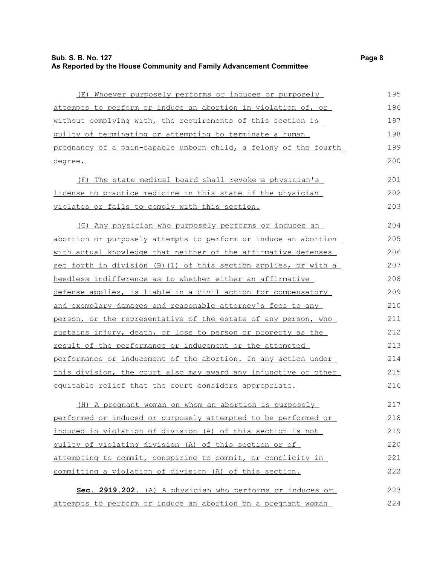(E) Whoever purposely performs or induces or purposely attempts to perform or induce an abortion in violation of, or without complying with, the requirements of this section is guilty of terminating or attempting to terminate a human pregnancy of a pain- capable unborn child, a felony of the fourth degree. (F) The state medical board shall revoke a physician's license to practice medicine in this state if the physician violates or fails to comply with this section. (G) Any physician who purposely performs or induces an abortion or purposely attempts to perform or induce an abortion with actual knowledge that neither of the affirmative defenses set forth in division (B)(1) of this section applies, or with a heedless indifference as to whether either an affirmative defense applies, is liable in a civil action for compensatory and exemplary damages and reasonable attorney's fees to any person, or the representative of the estate of any person, who sustains injury, death, or loss to person or property as the result of the performance or inducement or the attempted performance or inducement of the abortion. In any action under this division, the court also may award any injunctive or other equitable relief that the court considers appropriate. (H) A pregnant woman on whom an abortion is purposely performed or induced or purposely attempted to be performed or induced in violation of division (A) of this section is not guilty of violating division (A) of this section or of attempting to commit, conspiring to commit, or complicity in committing a violation of division (A) of this section. 195 196 197 198 199 200 201 202 203 204 205 206 207 208 209 210 211 212 213 214 215 216 217 218 219 220 221 222

 **Sec. 2919.202.** (A) A physician who performs or induces or attempts to perform or induce an abortion on a pregnant woman 223 224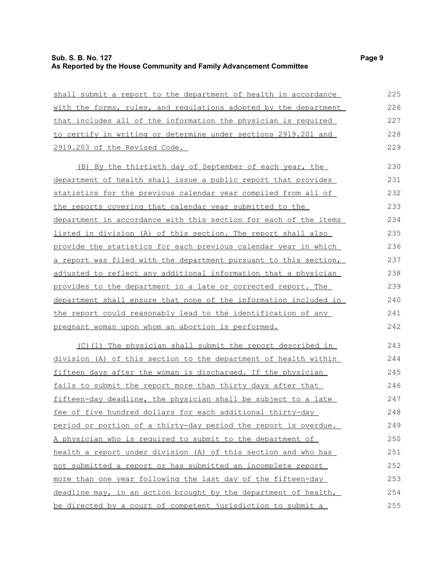| shall submit a report to the department of health in accordance  | 225 |
|------------------------------------------------------------------|-----|
| with the forms, rules, and regulations adopted by the department | 226 |
| that includes all of the information the physician is required   | 227 |
| to certify in writing or determine under sections 2919.201 and   | 228 |
| 2919.203 of the Revised Code.                                    | 229 |
| (B) By the thirtieth day of September of each year, the          | 230 |
| department of health shall issue a public report that provides   | 231 |
| statistics for the previous calendar year compiled from all of   | 232 |
| the reports covering that calendar year submitted to the         | 233 |
| department in accordance with this section for each of the items | 234 |
| listed in division (A) of this section. The report shall also    | 235 |
| provide the statistics for each previous calendar year in which  | 236 |
| a report was filed with the department pursuant to this section, | 237 |
| adjusted to reflect any additional information that a physician  | 238 |
| provides to the department in a late or corrected report. The    | 239 |
| department shall ensure that none of the information included in | 240 |
| the report could reasonably lead to the identification of any    | 241 |
| pregnant woman upon whom an abortion is performed.               | 242 |
| (C)(1) The physician shall submit the report described in        | 243 |
| division (A) of this section to the department of health within  | 244 |
| fifteen days after the woman is discharged. If the physician     | 245 |
| fails to submit the report more than thirty days after that      | 246 |
| fifteen-day deadline, the physician shall be subject to a late   | 247 |
| fee of five hundred dollars for each additional thirty-day       | 248 |
| period or portion of a thirty-day period the report is overdue.  | 249 |
| A physician who is required to submit to the department of       | 250 |
| health a report under division (A) of this section and who has   | 251 |
| not submitted a report or has submitted an incomplete report     | 252 |
| more than one year following the last day of the fifteen-day     | 253 |
| deadline may, in an action brought by the department of health,  | 254 |
| be directed by a court of competent jurisdiction to submit a     | 255 |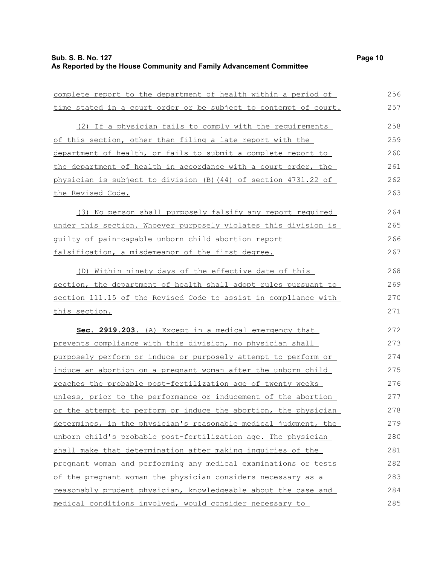| complete report to the department of health within a period of   | 256 |
|------------------------------------------------------------------|-----|
| time stated in a court order or be subject to contempt of court. | 257 |
| (2) If a physician fails to comply with the requirements         | 258 |
| of this section, other than filing a late report with the        | 259 |
| department of health, or fails to submit a complete report to    | 260 |
| the department of health in accordance with a court order, the   | 261 |
| physician is subject to division (B) (44) of section 4731.22 of  | 262 |
| <u>the Revised Code.</u>                                         | 263 |
| (3) No person shall purposely falsify any report required        | 264 |
| under this section. Whoever purposely violates this division is  | 265 |
| quilty of pain-capable unborn child abortion report              | 266 |
| falsification, a misdemeanor of the first degree.                | 267 |
| (D) Within ninety days of the effective date of this             | 268 |
| section, the department of health shall adopt rules pursuant to  | 269 |
| section 111.15 of the Revised Code to assist in compliance with  | 270 |
| this section.                                                    | 271 |
| Sec. 2919.203. (A) Except in a medical emergency that            | 272 |
| prevents compliance with this division, no physician shall       | 273 |
| purposely perform or induce or purposely attempt to perform or   | 274 |
| induce an abortion on a pregnant woman after the unborn child    | 275 |
| reaches the probable post-fertilization age of twenty weeks      | 276 |
| unless, prior to the performance or inducement of the abortion   | 277 |
| or the attempt to perform or induce the abortion, the physician  | 278 |
| determines, in the physician's reasonable medical judgment, the  | 279 |
| unborn child's probable post-fertilization age. The physician    | 280 |
| shall make that determination after making inquiries of the      | 281 |
| pregnant woman and performing any medical examinations or tests  | 282 |
| of the pregnant woman the physician considers necessary as a     | 283 |
| reasonably prudent physician, knowledgeable about the case and   | 284 |
| medical conditions involved, would consider necessary to         | 285 |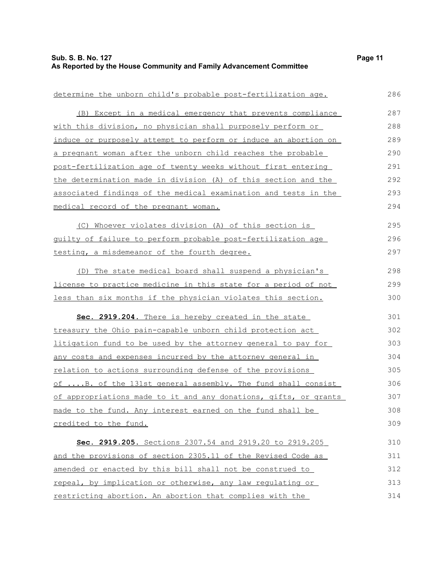| determine the unborn child's probable post-fertilization age.     | 286 |
|-------------------------------------------------------------------|-----|
| (B) Except in a medical emergency that prevents compliance        | 287 |
| with this division, no physician shall purposely perform or       | 288 |
| induce or purposely attempt to perform or induce an abortion on   | 289 |
| a pregnant woman after the unborn child reaches the probable      | 290 |
| post-fertilization age of twenty weeks without first entering     | 291 |
| the determination made in division (A) of this section and the    | 292 |
| associated findings of the medical examination and tests in the   | 293 |
| medical record of the pregnant woman.                             | 294 |
| (C) Whoever violates division (A) of this section is              | 295 |
| guilty of failure to perform probable post-fertilization age      | 296 |
| testing, a misdemeanor of the fourth degree.                      | 297 |
| (D) The state medical board shall suspend a physician's           | 298 |
| license to practice medicine in this state for a period of not    | 299 |
| less than six months if the physician violates this section.      | 300 |
| Sec. 2919.204. There is hereby created in the state               | 301 |
| treasury the Ohio pain-capable unborn child protection act        | 302 |
| litigation fund to be used by the attorney general to pay for     | 303 |
| <u>any costs and expenses incurred by the attorney general in</u> | 304 |
| <u>relation to actions surrounding defense of the provisions</u>  | 305 |
| of B. of the 131st general assembly. The fund shall consist       | 306 |
| of appropriations made to it and any donations, gifts, or grants  | 307 |
| made to the fund. Any interest earned on the fund shall be        | 308 |
| credited to the fund.                                             | 309 |
| Sec. 2919.205. Sections 2307.54 and 2919.20 to 2919.205           | 310 |
| and the provisions of section 2305.11 of the Revised Code as      | 311 |
| amended or enacted by this bill shall not be construed to         | 312 |
| repeal, by implication or otherwise, any law requlating or        | 313 |
| restricting abortion. An abortion that complies with the          | 314 |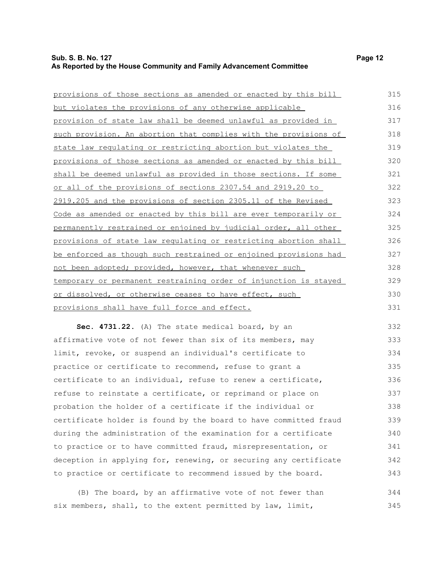## **Sub. S. B. No. 127 Page 12 As Reported by the House Community and Family Advancement Committee**

| provisions of those sections as amended or enacted by this bill  | 315 |
|------------------------------------------------------------------|-----|
| but violates the provisions of any otherwise applicable          | 316 |
| provision of state law shall be deemed unlawful as provided in   | 317 |
| such provision. An abortion that complies with the provisions of | 318 |
| state law regulating or restricting abortion but violates the    | 319 |
| provisions of those sections as amended or enacted by this bill  | 320 |
| shall be deemed unlawful as provided in those sections. If some  | 321 |
| or all of the provisions of sections 2307.54 and 2919.20 to      | 322 |
| 2919.205 and the provisions of section 2305.11 of the Revised    | 323 |
| Code as amended or enacted by this bill are ever temporarily or  | 324 |
| permanently restrained or enjoined by judicial order, all other  | 325 |
| provisions of state law requlating or restricting abortion shall | 326 |
| be enforced as though such restrained or enjoined provisions had | 327 |
| not been adopted; provided, however, that whenever such          | 328 |
| temporary or permanent restraining order of injunction is stayed | 329 |
| or dissolved, or otherwise ceases to have effect, such           | 330 |
| provisions shall have full force and effect.                     | 331 |
| Sec. 4731.22. (A) The state medical board, by an                 | 332 |
| affirmative vote of not fewer than six of its members, may       | 333 |
|                                                                  |     |

limit, revoke, or suspend an individual's certificate to practice or certificate to recommend, refuse to grant a certificate to an individual, refuse to renew a certificate, refuse to reinstate a certificate, or reprimand or place on probation the holder of a certificate if the individual or certificate holder is found by the board to have committed fraud during the administration of the examination for a certificate to practice or to have committed fraud, misrepresentation, or deception in applying for, renewing, or securing any certificate to practice or certificate to recommend issued by the board. 334 335 336 337 338 339 340 341 342 343

(B) The board, by an affirmative vote of not fewer than six members, shall, to the extent permitted by law, limit, 344 345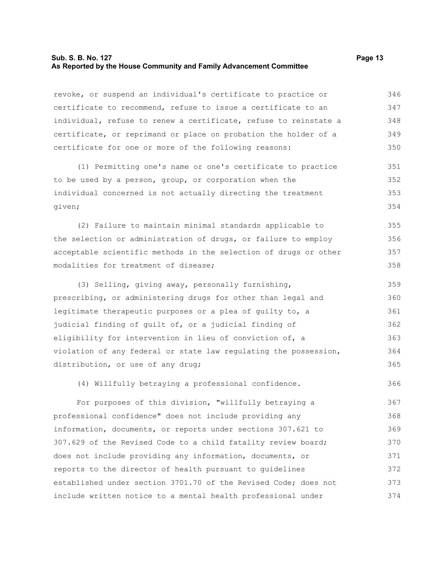## **Sub. S. B. No. 127 Page 13 As Reported by the House Community and Family Advancement Committee**

revoke, or suspend an individual's certificate to practice or certificate to recommend, refuse to issue a certificate to an individual, refuse to renew a certificate, refuse to reinstate a certificate, or reprimand or place on probation the holder of a certificate for one or more of the following reasons: 346 347 348 349 350

(1) Permitting one's name or one's certificate to practice to be used by a person, group, or corporation when the individual concerned is not actually directing the treatment given; 351 352 353 354

(2) Failure to maintain minimal standards applicable to the selection or administration of drugs, or failure to employ acceptable scientific methods in the selection of drugs or other modalities for treatment of disease; 355 356 357 358

(3) Selling, giving away, personally furnishing, prescribing, or administering drugs for other than legal and legitimate therapeutic purposes or a plea of guilty to, a judicial finding of guilt of, or a judicial finding of eligibility for intervention in lieu of conviction of, a violation of any federal or state law regulating the possession, distribution, or use of any drug; 359 360 361 362 363 364 365

(4) Willfully betraying a professional confidence. 366

For purposes of this division, "willfully betraying a professional confidence" does not include providing any information, documents, or reports under sections 307.621 to 307.629 of the Revised Code to a child fatality review board; does not include providing any information, documents, or reports to the director of health pursuant to guidelines established under section 3701.70 of the Revised Code; does not include written notice to a mental health professional under 367 368 369 370 371 372 373 374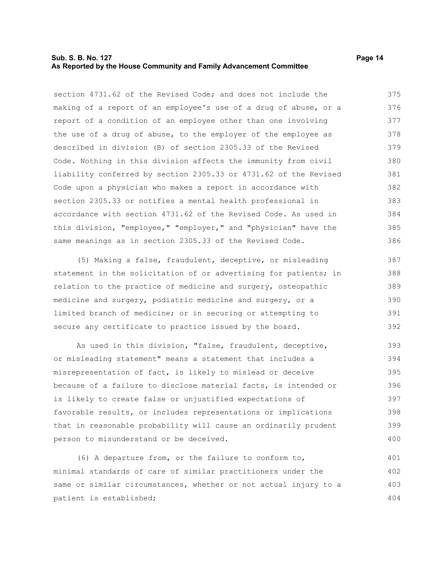## **Sub. S. B. No. 127 Page 14 As Reported by the House Community and Family Advancement Committee**

section 4731.62 of the Revised Code; and does not include the making of a report of an employee's use of a drug of abuse, or a report of a condition of an employee other than one involving the use of a drug of abuse, to the employer of the employee as described in division (B) of section 2305.33 of the Revised Code. Nothing in this division affects the immunity from civil liability conferred by section 2305.33 or 4731.62 of the Revised Code upon a physician who makes a report in accordance with section 2305.33 or notifies a mental health professional in accordance with section 4731.62 of the Revised Code. As used in this division, "employee," "employer," and "physician" have the same meanings as in section 2305.33 of the Revised Code. 375 376 377 378 379 380 381 382 383 384 385 386

(5) Making a false, fraudulent, deceptive, or misleading statement in the solicitation of or advertising for patients; in relation to the practice of medicine and surgery, osteopathic medicine and surgery, podiatric medicine and surgery, or a limited branch of medicine; or in securing or attempting to secure any certificate to practice issued by the board. 387 388 389 390 391 392

As used in this division, "false, fraudulent, deceptive, or misleading statement" means a statement that includes a misrepresentation of fact, is likely to mislead or deceive because of a failure to disclose material facts, is intended or is likely to create false or unjustified expectations of favorable results, or includes representations or implications that in reasonable probability will cause an ordinarily prudent person to misunderstand or be deceived. 393 394 395 396 397 398 399 400

(6) A departure from, or the failure to conform to, minimal standards of care of similar practitioners under the same or similar circumstances, whether or not actual injury to a patient is established; 401 402 403 404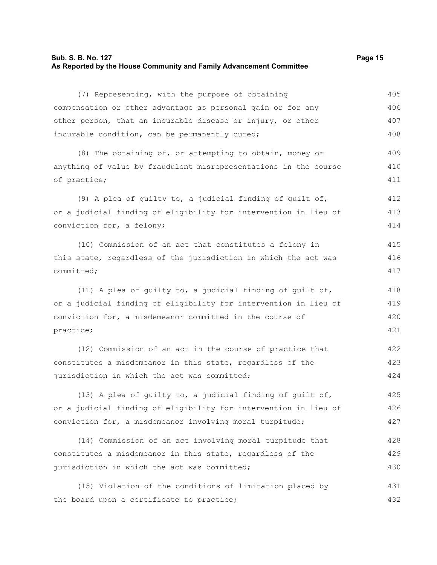## **Sub. S. B. No. 127 Page 15 As Reported by the House Community and Family Advancement Committee**

(7) Representing, with the purpose of obtaining compensation or other advantage as personal gain or for any other person, that an incurable disease or injury, or other incurable condition, can be permanently cured; (8) The obtaining of, or attempting to obtain, money or anything of value by fraudulent misrepresentations in the course of practice;

(9) A plea of guilty to, a judicial finding of guilt of, or a judicial finding of eligibility for intervention in lieu of conviction for, a felony; 412 413 414

(10) Commission of an act that constitutes a felony in this state, regardless of the jurisdiction in which the act was committed; 415 416 417

(11) A plea of guilty to, a judicial finding of guilt of, or a judicial finding of eligibility for intervention in lieu of conviction for, a misdemeanor committed in the course of practice; 418 419 420 421

(12) Commission of an act in the course of practice that constitutes a misdemeanor in this state, regardless of the jurisdiction in which the act was committed; 422 423 424

(13) A plea of guilty to, a judicial finding of guilt of, or a judicial finding of eligibility for intervention in lieu of conviction for, a misdemeanor involving moral turpitude; 425 426 427

(14) Commission of an act involving moral turpitude that constitutes a misdemeanor in this state, regardless of the jurisdiction in which the act was committed; 428 429 430

(15) Violation of the conditions of limitation placed by the board upon a certificate to practice; 431 432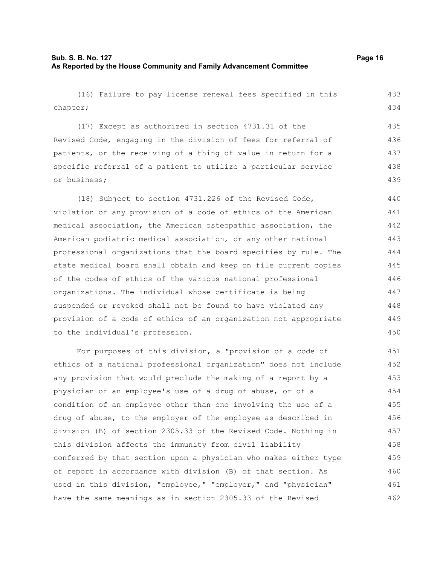(16) Failure to pay license renewal fees specified in this chapter; (17) Except as authorized in section 4731.31 of the Revised Code, engaging in the division of fees for referral of patients, or the receiving of a thing of value in return for a specific referral of a patient to utilize a particular service or business; (18) Subject to section 4731.226 of the Revised Code, violation of any provision of a code of ethics of the American medical association, the American osteopathic association, the American podiatric medical association, or any other national professional organizations that the board specifies by rule. The state medical board shall obtain and keep on file current copies of the codes of ethics of the various national professional organizations. The individual whose certificate is being suspended or revoked shall not be found to have violated any provision of a code of ethics of an organization not appropriate to the individual's profession. For purposes of this division, a "provision of a code of ethics of a national professional organization" does not include any provision that would preclude the making of a report by a physician of an employee's use of a drug of abuse, or of a condition of an employee other than one involving the use of a drug of abuse, to the employer of the employee as described in division (B) of section 2305.33 of the Revised Code. Nothing in this division affects the immunity from civil liability 433 434 435 436 437 438 439 440 441 442 443 444 445 446 447 448 449 450 451 452 453 454 455 456 457 458

conferred by that section upon a physician who makes either type of report in accordance with division (B) of that section. As used in this division, "employee," "employer," and "physician" have the same meanings as in section 2305.33 of the Revised 459 460 461 462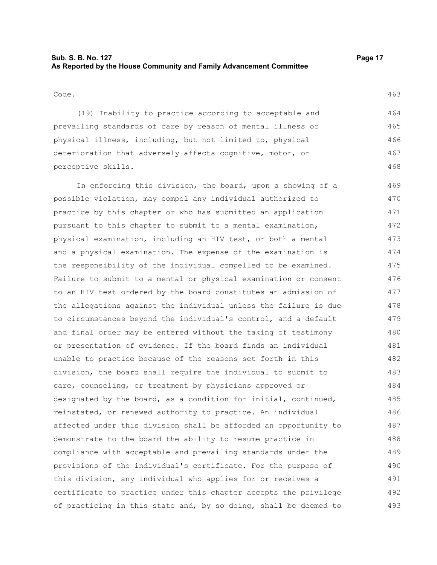## **Sub. S. B. No. 127 Page 17 As Reported by the House Community and Family Advancement Committee**

#### Code.

(19) Inability to practice according to acceptable and prevailing standards of care by reason of mental illness or physical illness, including, but not limited to, physical deterioration that adversely affects cognitive, motor, or perceptive skills.

In enforcing this division, the board, upon a showing of a possible violation, may compel any individual authorized to practice by this chapter or who has submitted an application pursuant to this chapter to submit to a mental examination, physical examination, including an HIV test, or both a mental and a physical examination. The expense of the examination is the responsibility of the individual compelled to be examined. Failure to submit to a mental or physical examination or consent to an HIV test ordered by the board constitutes an admission of the allegations against the individual unless the failure is due to circumstances beyond the individual's control, and a default and final order may be entered without the taking of testimony or presentation of evidence. If the board finds an individual unable to practice because of the reasons set forth in this division, the board shall require the individual to submit to care, counseling, or treatment by physicians approved or designated by the board, as a condition for initial, continued, reinstated, or renewed authority to practice. An individual affected under this division shall be afforded an opportunity to demonstrate to the board the ability to resume practice in compliance with acceptable and prevailing standards under the provisions of the individual's certificate. For the purpose of this division, any individual who applies for or receives a certificate to practice under this chapter accepts the privilege of practicing in this state and, by so doing, shall be deemed to 469 470 471 472 473 474 475 476 477 478 479 480 481 482 483 484 485 486 487 488 489 490 491 492 493

463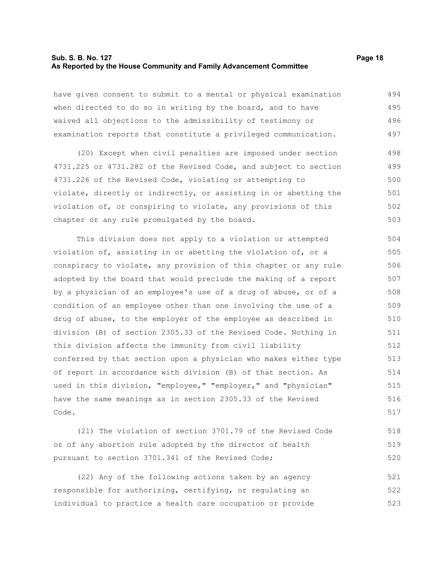## **Sub. S. B. No. 127 Page 18 As Reported by the House Community and Family Advancement Committee**

have given consent to submit to a mental or physical examination when directed to do so in writing by the board, and to have waived all objections to the admissibility of testimony or examination reports that constitute a privileged communication. 494 495 496 497

(20) Except when civil penalties are imposed under section 4731.225 or 4731.282 of the Revised Code, and subject to section 4731.226 of the Revised Code, violating or attempting to violate, directly or indirectly, or assisting in or abetting the violation of, or conspiring to violate, any provisions of this chapter or any rule promulgated by the board. 498 499 500 501 502 503

This division does not apply to a violation or attempted violation of, assisting in or abetting the violation of, or a conspiracy to violate, any provision of this chapter or any rule adopted by the board that would preclude the making of a report by a physician of an employee's use of a drug of abuse, or of a condition of an employee other than one involving the use of a drug of abuse, to the employer of the employee as described in division (B) of section 2305.33 of the Revised Code. Nothing in this division affects the immunity from civil liability conferred by that section upon a physician who makes either type of report in accordance with division (B) of that section. As used in this division, "employee," "employer," and "physician" have the same meanings as in section 2305.33 of the Revised Code. 504 505 506 507 508 509 510 511 512 513 514 515 516 517

(21) The violation of section 3701.79 of the Revised Code or of any abortion rule adopted by the director of health pursuant to section 3701.341 of the Revised Code; 518 519 520

(22) Any of the following actions taken by an agency responsible for authorizing, certifying, or regulating an individual to practice a health care occupation or provide 521 522 523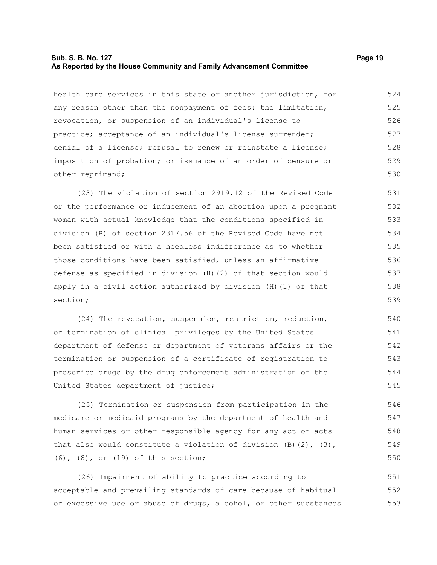## **Sub. S. B. No. 127 Page 19 As Reported by the House Community and Family Advancement Committee**

health care services in this state or another jurisdiction, for any reason other than the nonpayment of fees: the limitation, revocation, or suspension of an individual's license to practice; acceptance of an individual's license surrender; denial of a license; refusal to renew or reinstate a license; imposition of probation; or issuance of an order of censure or other reprimand; 524 525 526 527 528 529 530

(23) The violation of section 2919.12 of the Revised Code or the performance or inducement of an abortion upon a pregnant woman with actual knowledge that the conditions specified in division (B) of section 2317.56 of the Revised Code have not been satisfied or with a heedless indifference as to whether those conditions have been satisfied, unless an affirmative defense as specified in division (H)(2) of that section would apply in a civil action authorized by division (H)(1) of that section; 531 532 533 534 535 536 537 538 539

(24) The revocation, suspension, restriction, reduction, or termination of clinical privileges by the United States department of defense or department of veterans affairs or the termination or suspension of a certificate of registration to prescribe drugs by the drug enforcement administration of the United States department of justice; 540 541 542 543 544 545

(25) Termination or suspension from participation in the medicare or medicaid programs by the department of health and human services or other responsible agency for any act or acts that also would constitute a violation of division  $(B)$   $(2)$ ,  $(3)$ , (6), (8), or (19) of this section; 546 547 548 549 550

(26) Impairment of ability to practice according to acceptable and prevailing standards of care because of habitual or excessive use or abuse of drugs, alcohol, or other substances 551 552 553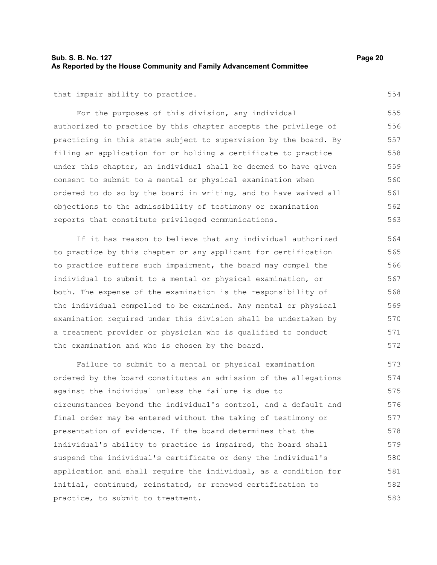## **Sub. S. B. No. 127 Page 20 As Reported by the House Community and Family Advancement Committee**

that impair ability to practice.

For the purposes of this division, any individual authorized to practice by this chapter accepts the privilege of practicing in this state subject to supervision by the board. By filing an application for or holding a certificate to practice under this chapter, an individual shall be deemed to have given consent to submit to a mental or physical examination when ordered to do so by the board in writing, and to have waived all objections to the admissibility of testimony or examination reports that constitute privileged communications. 555 556 557 558 559 560 561 562 563

If it has reason to believe that any individual authorized to practice by this chapter or any applicant for certification to practice suffers such impairment, the board may compel the individual to submit to a mental or physical examination, or both. The expense of the examination is the responsibility of the individual compelled to be examined. Any mental or physical examination required under this division shall be undertaken by a treatment provider or physician who is qualified to conduct the examination and who is chosen by the board. 564 565 566 567 568 569 570 571 572

Failure to submit to a mental or physical examination ordered by the board constitutes an admission of the allegations against the individual unless the failure is due to circumstances beyond the individual's control, and a default and final order may be entered without the taking of testimony or presentation of evidence. If the board determines that the individual's ability to practice is impaired, the board shall suspend the individual's certificate or deny the individual's application and shall require the individual, as a condition for initial, continued, reinstated, or renewed certification to practice, to submit to treatment. 573 574 575 576 577 578 579 580 581 582 583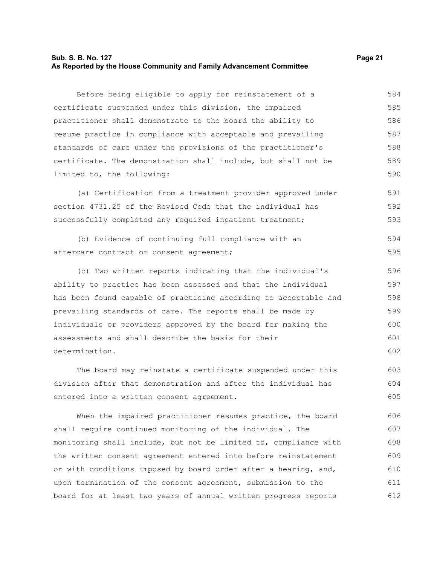## **Sub. S. B. No. 127 Page 21 As Reported by the House Community and Family Advancement Committee**

Before being eligible to apply for reinstatement of a certificate suspended under this division, the impaired practitioner shall demonstrate to the board the ability to resume practice in compliance with acceptable and prevailing standards of care under the provisions of the practitioner's certificate. The demonstration shall include, but shall not be limited to, the following: 584 585 586 587 588 589 590

(a) Certification from a treatment provider approved under section 4731.25 of the Revised Code that the individual has successfully completed any required inpatient treatment; 591 592 593

(b) Evidence of continuing full compliance with an aftercare contract or consent agreement; 594 595

(c) Two written reports indicating that the individual's ability to practice has been assessed and that the individual has been found capable of practicing according to acceptable and prevailing standards of care. The reports shall be made by individuals or providers approved by the board for making the assessments and shall describe the basis for their determination. 596 597 598 599 600 601 602

The board may reinstate a certificate suspended under this division after that demonstration and after the individual has entered into a written consent agreement. 603 604 605

When the impaired practitioner resumes practice, the board shall require continued monitoring of the individual. The monitoring shall include, but not be limited to, compliance with the written consent agreement entered into before reinstatement or with conditions imposed by board order after a hearing, and, upon termination of the consent agreement, submission to the board for at least two years of annual written progress reports 606 607 608 609 610 611 612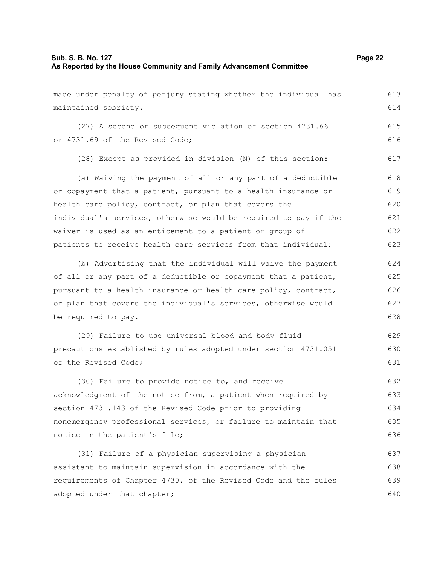## **Sub. S. B. No. 127 Page 22 As Reported by the House Community and Family Advancement Committee**

maintained sobriety.

made under penalty of perjury stating whether the individual has

(27) A second or subsequent violation of section 4731.66 or 4731.69 of the Revised Code; 615 616

(28) Except as provided in division (N) of this section: 617

(a) Waiving the payment of all or any part of a deductible or copayment that a patient, pursuant to a health insurance or health care policy, contract, or plan that covers the individual's services, otherwise would be required to pay if the waiver is used as an enticement to a patient or group of patients to receive health care services from that individual; 618 619 620 621 622 623

(b) Advertising that the individual will waive the payment of all or any part of a deductible or copayment that a patient, pursuant to a health insurance or health care policy, contract, or plan that covers the individual's services, otherwise would be required to pay. 624 625 626 627 628

(29) Failure to use universal blood and body fluid precautions established by rules adopted under section 4731.051 of the Revised Code; 629 630 631

(30) Failure to provide notice to, and receive acknowledgment of the notice from, a patient when required by section 4731.143 of the Revised Code prior to providing nonemergency professional services, or failure to maintain that notice in the patient's file; 632 633 634 635 636

(31) Failure of a physician supervising a physician assistant to maintain supervision in accordance with the requirements of Chapter 4730. of the Revised Code and the rules adopted under that chapter; 637 638 639 640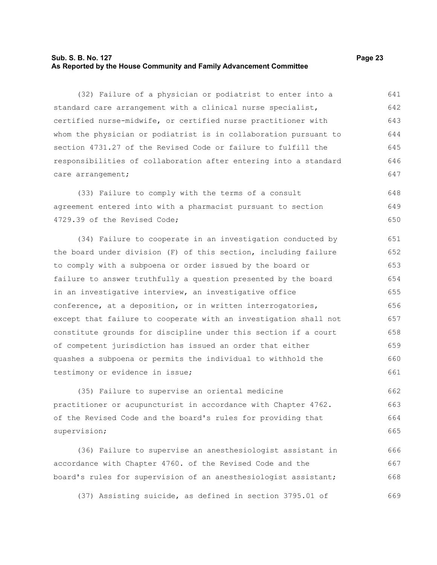## **Sub. S. B. No. 127 Page 23 As Reported by the House Community and Family Advancement Committee**

(32) Failure of a physician or podiatrist to enter into a standard care arrangement with a clinical nurse specialist, certified nurse-midwife, or certified nurse practitioner with whom the physician or podiatrist is in collaboration pursuant to section 4731.27 of the Revised Code or failure to fulfill the responsibilities of collaboration after entering into a standard care arrangement; 641 642 643 644 645 646 647

(33) Failure to comply with the terms of a consult agreement entered into with a pharmacist pursuant to section 4729.39 of the Revised Code; 648 649 650

(34) Failure to cooperate in an investigation conducted by the board under division (F) of this section, including failure to comply with a subpoena or order issued by the board or failure to answer truthfully a question presented by the board in an investigative interview, an investigative office conference, at a deposition, or in written interrogatories, except that failure to cooperate with an investigation shall not constitute grounds for discipline under this section if a court of competent jurisdiction has issued an order that either quashes a subpoena or permits the individual to withhold the testimony or evidence in issue; 651 652 653 654 655 656 657 658 659 660 661

(35) Failure to supervise an oriental medicine practitioner or acupuncturist in accordance with Chapter 4762. of the Revised Code and the board's rules for providing that supervision; 662 663 664 665

(36) Failure to supervise an anesthesiologist assistant in accordance with Chapter 4760. of the Revised Code and the board's rules for supervision of an anesthesiologist assistant; 666 667 668

(37) Assisting suicide, as defined in section 3795.01 of 669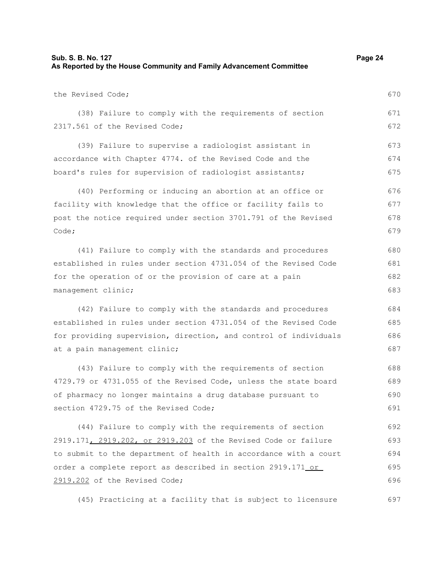| Sub. S. B. No. 127                                                  | Page 24 |
|---------------------------------------------------------------------|---------|
| As Reported by the House Community and Family Advancement Committee |         |

the Revised Code;

670

(38) Failure to comply with the requirements of section 2317.561 of the Revised Code; 671 672

(39) Failure to supervise a radiologist assistant in accordance with Chapter 4774. of the Revised Code and the board's rules for supervision of radiologist assistants; 673 674 675

(40) Performing or inducing an abortion at an office or facility with knowledge that the office or facility fails to post the notice required under section 3701.791 of the Revised Code; 676 677 678 679

(41) Failure to comply with the standards and procedures established in rules under section 4731.054 of the Revised Code for the operation of or the provision of care at a pain management clinic; 680 681 682 683

(42) Failure to comply with the standards and procedures established in rules under section 4731.054 of the Revised Code for providing supervision, direction, and control of individuals at a pain management clinic;

(43) Failure to comply with the requirements of section 4729.79 or 4731.055 of the Revised Code, unless the state board of pharmacy no longer maintains a drug database pursuant to section 4729.75 of the Revised Code; 688 689 690 691

(44) Failure to comply with the requirements of section 2919.171, 2919.202, or 2919.203 of the Revised Code or failure to submit to the department of health in accordance with a court order a complete report as described in section 2919.171 or 2919.202 of the Revised Code; 692 693 694 695 696

(45) Practicing at a facility that is subject to licensure 697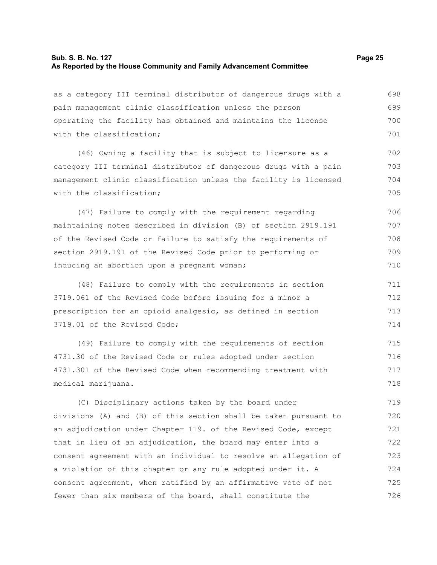## **Sub. S. B. No. 127 Page 25 As Reported by the House Community and Family Advancement Committee**

as a category III terminal distributor of dangerous drugs with a

pain management clinic classification unless the person operating the facility has obtained and maintains the license with the classification; (46) Owning a facility that is subject to licensure as a category III terminal distributor of dangerous drugs with a pain management clinic classification unless the facility is licensed with the classification: (47) Failure to comply with the requirement regarding maintaining notes described in division (B) of section 2919.191 of the Revised Code or failure to satisfy the requirements of section 2919.191 of the Revised Code prior to performing or inducing an abortion upon a pregnant woman; (48) Failure to comply with the requirements in section 3719.061 of the Revised Code before issuing for a minor a prescription for an opioid analgesic, as defined in section 3719.01 of the Revised Code; (49) Failure to comply with the requirements of section 699 700 701 702 703 704 705 706 707 708 709 710 711 712 713 714 715

4731.30 of the Revised Code or rules adopted under section 4731.301 of the Revised Code when recommending treatment with medical marijuana. 716 717 718

(C) Disciplinary actions taken by the board under divisions (A) and (B) of this section shall be taken pursuant to an adjudication under Chapter 119. of the Revised Code, except that in lieu of an adjudication, the board may enter into a consent agreement with an individual to resolve an allegation of a violation of this chapter or any rule adopted under it. A consent agreement, when ratified by an affirmative vote of not fewer than six members of the board, shall constitute the 719 720 721 722 723 724 725 726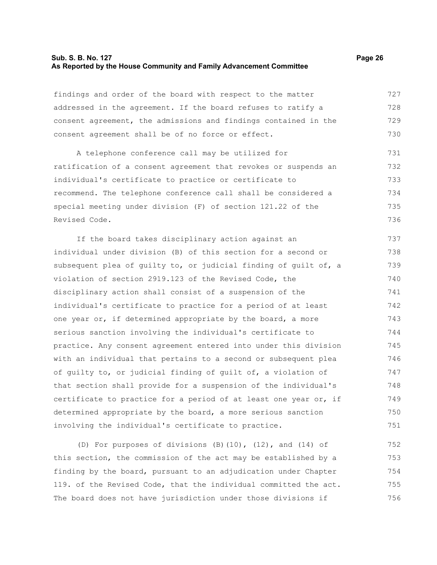## **Sub. S. B. No. 127 Page 26 As Reported by the House Community and Family Advancement Committee**

findings and order of the board with respect to the matter addressed in the agreement. If the board refuses to ratify a consent agreement, the admissions and findings contained in the consent agreement shall be of no force or effect. 727 728 729 730

A telephone conference call may be utilized for ratification of a consent agreement that revokes or suspends an individual's certificate to practice or certificate to recommend. The telephone conference call shall be considered a special meeting under division (F) of section 121.22 of the Revised Code. 731 732 733 734 735 736

If the board takes disciplinary action against an individual under division (B) of this section for a second or subsequent plea of guilty to, or judicial finding of guilt of, a violation of section 2919.123 of the Revised Code, the disciplinary action shall consist of a suspension of the individual's certificate to practice for a period of at least one year or, if determined appropriate by the board, a more serious sanction involving the individual's certificate to practice. Any consent agreement entered into under this division with an individual that pertains to a second or subsequent plea of guilty to, or judicial finding of guilt of, a violation of that section shall provide for a suspension of the individual's certificate to practice for a period of at least one year or, if determined appropriate by the board, a more serious sanction involving the individual's certificate to practice. 737 738 739 740 741 742 743 744 745 746 747 748 749 750 751

(D) For purposes of divisions  $(B)(10)$ ,  $(12)$ , and  $(14)$  of this section, the commission of the act may be established by a finding by the board, pursuant to an adjudication under Chapter 119. of the Revised Code, that the individual committed the act. The board does not have jurisdiction under those divisions if 752 753 754 755 756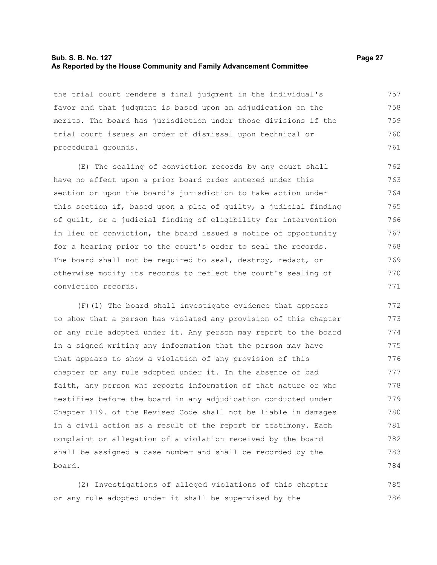## **Sub. S. B. No. 127 Page 27 As Reported by the House Community and Family Advancement Committee**

the trial court renders a final judgment in the individual's favor and that judgment is based upon an adjudication on the merits. The board has jurisdiction under those divisions if the trial court issues an order of dismissal upon technical or procedural grounds. 757 758 759 760 761

(E) The sealing of conviction records by any court shall have no effect upon a prior board order entered under this section or upon the board's jurisdiction to take action under this section if, based upon a plea of guilty, a judicial finding of guilt, or a judicial finding of eligibility for intervention in lieu of conviction, the board issued a notice of opportunity for a hearing prior to the court's order to seal the records. The board shall not be required to seal, destroy, redact, or otherwise modify its records to reflect the court's sealing of conviction records. 762 763 764 765 766 767 768 769 770 771

(F)(1) The board shall investigate evidence that appears to show that a person has violated any provision of this chapter or any rule adopted under it. Any person may report to the board in a signed writing any information that the person may have that appears to show a violation of any provision of this chapter or any rule adopted under it. In the absence of bad faith, any person who reports information of that nature or who testifies before the board in any adjudication conducted under Chapter 119. of the Revised Code shall not be liable in damages in a civil action as a result of the report or testimony. Each complaint or allegation of a violation received by the board shall be assigned a case number and shall be recorded by the board. 772 773 774 775 776 777 778 779 780 781 782 783 784

(2) Investigations of alleged violations of this chapter or any rule adopted under it shall be supervised by the 785 786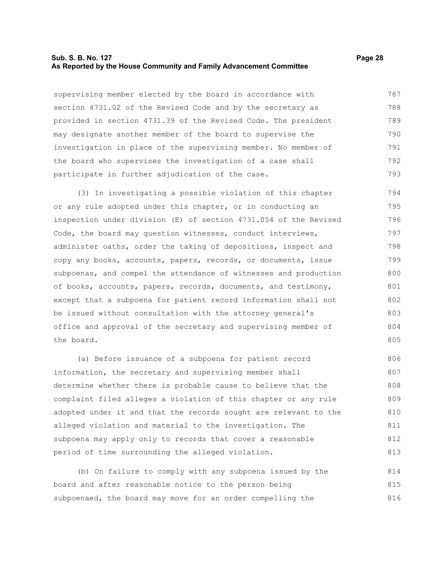## **Sub. S. B. No. 127 Page 28 As Reported by the House Community and Family Advancement Committee**

supervising member elected by the board in accordance with section 4731.02 of the Revised Code and by the secretary as provided in section 4731.39 of the Revised Code. The president may designate another member of the board to supervise the investigation in place of the supervising member. No member of the board who supervises the investigation of a case shall participate in further adjudication of the case. 787 788 789 790 791 792 793

(3) In investigating a possible violation of this chapter or any rule adopted under this chapter, or in conducting an inspection under division (E) of section 4731.054 of the Revised Code, the board may question witnesses, conduct interviews, administer oaths, order the taking of depositions, inspect and copy any books, accounts, papers, records, or documents, issue subpoenas, and compel the attendance of witnesses and production of books, accounts, papers, records, documents, and testimony, except that a subpoena for patient record information shall not be issued without consultation with the attorney general's office and approval of the secretary and supervising member of the board. 794 795 796 797 798 799 800 801 802 803 804 805

(a) Before issuance of a subpoena for patient record information, the secretary and supervising member shall determine whether there is probable cause to believe that the complaint filed alleges a violation of this chapter or any rule adopted under it and that the records sought are relevant to the alleged violation and material to the investigation. The subpoena may apply only to records that cover a reasonable period of time surrounding the alleged violation. 806 807 808 809 810 811 812 813

(b) On failure to comply with any subpoena issued by the board and after reasonable notice to the person being subpoenaed, the board may move for an order compelling the 814 815 816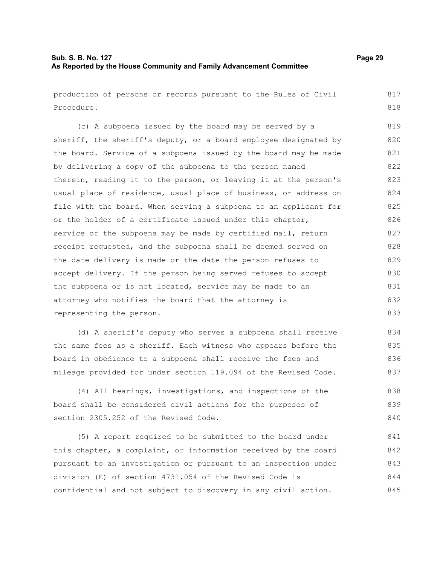## **Sub. S. B. No. 127 Page 29 As Reported by the House Community and Family Advancement Committee**

production of persons or records pursuant to the Rules of Civil Procedure. 817 818

(c) A subpoena issued by the board may be served by a sheriff, the sheriff's deputy, or a board employee designated by the board. Service of a subpoena issued by the board may be made by delivering a copy of the subpoena to the person named therein, reading it to the person, or leaving it at the person's usual place of residence, usual place of business, or address on file with the board. When serving a subpoena to an applicant for or the holder of a certificate issued under this chapter, service of the subpoena may be made by certified mail, return receipt requested, and the subpoena shall be deemed served on the date delivery is made or the date the person refuses to accept delivery. If the person being served refuses to accept the subpoena or is not located, service may be made to an attorney who notifies the board that the attorney is representing the person. 820 821 822 823 824 825 826 827 828 829 830 831 832 833

(d) A sheriff's deputy who serves a subpoena shall receive the same fees as a sheriff. Each witness who appears before the board in obedience to a subpoena shall receive the fees and mileage provided for under section 119.094 of the Revised Code. 834 835 836 837

(4) All hearings, investigations, and inspections of the board shall be considered civil actions for the purposes of section 2305.252 of the Revised Code. 838 839 840

(5) A report required to be submitted to the board under this chapter, a complaint, or information received by the board pursuant to an investigation or pursuant to an inspection under division (E) of section 4731.054 of the Revised Code is confidential and not subject to discovery in any civil action. 841 842 843 844 845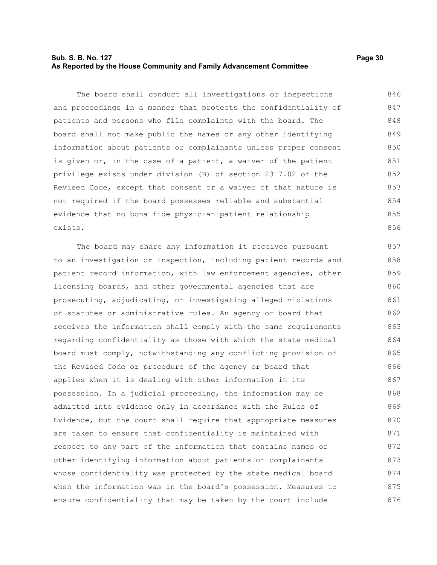## **Sub. S. B. No. 127 Page 30 As Reported by the House Community and Family Advancement Committee**

The board shall conduct all investigations or inspections and proceedings in a manner that protects the confidentiality of patients and persons who file complaints with the board. The board shall not make public the names or any other identifying information about patients or complainants unless proper consent is given or, in the case of a patient, a waiver of the patient privilege exists under division (B) of section 2317.02 of the Revised Code, except that consent or a waiver of that nature is not required if the board possesses reliable and substantial evidence that no bona fide physician-patient relationship exists. 846 847 848 849 850 851 852 853 854 855 856

The board may share any information it receives pursuant to an investigation or inspection, including patient records and patient record information, with law enforcement agencies, other licensing boards, and other governmental agencies that are prosecuting, adjudicating, or investigating alleged violations of statutes or administrative rules. An agency or board that receives the information shall comply with the same requirements regarding confidentiality as those with which the state medical board must comply, notwithstanding any conflicting provision of the Revised Code or procedure of the agency or board that applies when it is dealing with other information in its possession. In a judicial proceeding, the information may be admitted into evidence only in accordance with the Rules of Evidence, but the court shall require that appropriate measures are taken to ensure that confidentiality is maintained with respect to any part of the information that contains names or other identifying information about patients or complainants whose confidentiality was protected by the state medical board when the information was in the board's possession. Measures to ensure confidentiality that may be taken by the court include 857 858 859 860 861 862 863 864 865 866 867 868 869 870 871 872 873 874 875 876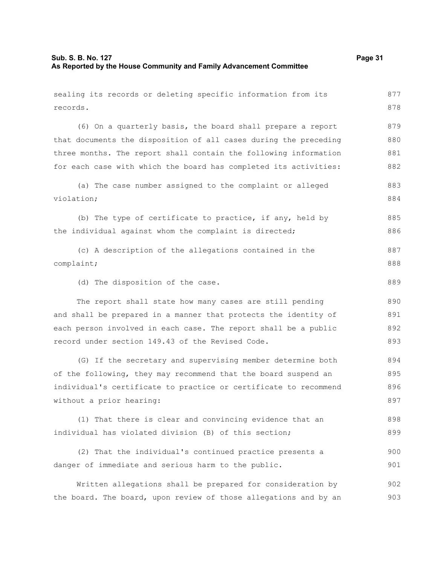| sealing its records or deleting specific information from its    | 877 |
|------------------------------------------------------------------|-----|
| records.                                                         | 878 |
| (6) On a quarterly basis, the board shall prepare a report       | 879 |
| that documents the disposition of all cases during the preceding | 880 |
| three months. The report shall contain the following information | 881 |
| for each case with which the board has completed its activities: | 882 |
| (a) The case number assigned to the complaint or alleged         | 883 |
| violation;                                                       | 884 |
| (b) The type of certificate to practice, if any, held by         | 885 |
| the individual against whom the complaint is directed;           | 886 |
| (c) A description of the allegations contained in the            | 887 |
| complaint;                                                       | 888 |
| (d) The disposition of the case.                                 | 889 |
| The report shall state how many cases are still pending          | 890 |
| and shall be prepared in a manner that protects the identity of  | 891 |
| each person involved in each case. The report shall be a public  | 892 |
| record under section 149.43 of the Revised Code.                 | 893 |
| (G) If the secretary and supervising member determine both       | 894 |
| of the following, they may recommend that the board suspend an   | 895 |
| individual's certificate to practice or certificate to recommend | 896 |
| without a prior hearing:                                         | 897 |
| (1) That there is clear and convincing evidence that an          | 898 |
| individual has violated division (B) of this section;            | 899 |
| (2) That the individual's continued practice presents a          | 900 |
| danger of immediate and serious harm to the public.              | 901 |
| Written allegations shall be prepared for consideration by       | 902 |
| the board. The board, upon review of those allegations and by an | 903 |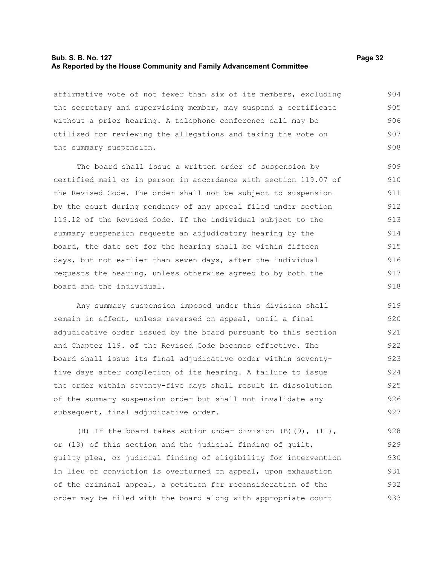## **Sub. S. B. No. 127 Page 32 As Reported by the House Community and Family Advancement Committee**

affirmative vote of not fewer than six of its members, excluding the secretary and supervising member, may suspend a certificate without a prior hearing. A telephone conference call may be utilized for reviewing the allegations and taking the vote on the summary suspension. 904 905 906 907 908

The board shall issue a written order of suspension by certified mail or in person in accordance with section 119.07 of the Revised Code. The order shall not be subject to suspension by the court during pendency of any appeal filed under section 119.12 of the Revised Code. If the individual subject to the summary suspension requests an adjudicatory hearing by the board, the date set for the hearing shall be within fifteen days, but not earlier than seven days, after the individual requests the hearing, unless otherwise agreed to by both the board and the individual. 909 910 911 912 913 914 915 916 917 918

Any summary suspension imposed under this division shall remain in effect, unless reversed on appeal, until a final adjudicative order issued by the board pursuant to this section and Chapter 119. of the Revised Code becomes effective. The board shall issue its final adjudicative order within seventyfive days after completion of its hearing. A failure to issue the order within seventy-five days shall result in dissolution of the summary suspension order but shall not invalidate any subsequent, final adjudicative order. 919 920 921 922 923 924 925 926 927

(H) If the board takes action under division  $(B)$ (9), (11), or (13) of this section and the judicial finding of guilt, guilty plea, or judicial finding of eligibility for intervention in lieu of conviction is overturned on appeal, upon exhaustion of the criminal appeal, a petition for reconsideration of the order may be filed with the board along with appropriate court 928 929 930 931 932 933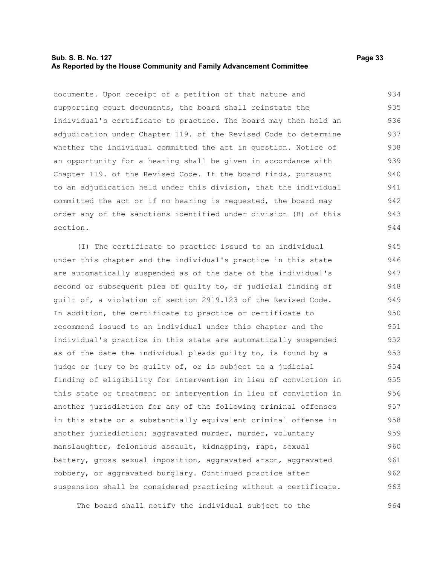## **Sub. S. B. No. 127 Page 33 As Reported by the House Community and Family Advancement Committee**

documents. Upon receipt of a petition of that nature and supporting court documents, the board shall reinstate the individual's certificate to practice. The board may then hold an adjudication under Chapter 119. of the Revised Code to determine whether the individual committed the act in question. Notice of an opportunity for a hearing shall be given in accordance with Chapter 119. of the Revised Code. If the board finds, pursuant to an adjudication held under this division, that the individual committed the act or if no hearing is requested, the board may order any of the sanctions identified under division (B) of this section. 934 935 936 937 938 939 940 941 942 943 944

(I) The certificate to practice issued to an individual under this chapter and the individual's practice in this state are automatically suspended as of the date of the individual's second or subsequent plea of guilty to, or judicial finding of guilt of, a violation of section 2919.123 of the Revised Code. In addition, the certificate to practice or certificate to recommend issued to an individual under this chapter and the individual's practice in this state are automatically suspended as of the date the individual pleads guilty to, is found by a judge or jury to be guilty of, or is subject to a judicial finding of eligibility for intervention in lieu of conviction in this state or treatment or intervention in lieu of conviction in another jurisdiction for any of the following criminal offenses in this state or a substantially equivalent criminal offense in another jurisdiction: aggravated murder, murder, voluntary manslaughter, felonious assault, kidnapping, rape, sexual battery, gross sexual imposition, aggravated arson, aggravated robbery, or aggravated burglary. Continued practice after suspension shall be considered practicing without a certificate. 945 946 947 948 949 950 951 952 953 954 955 956 957 958 959 960 961 962 963

The board shall notify the individual subject to the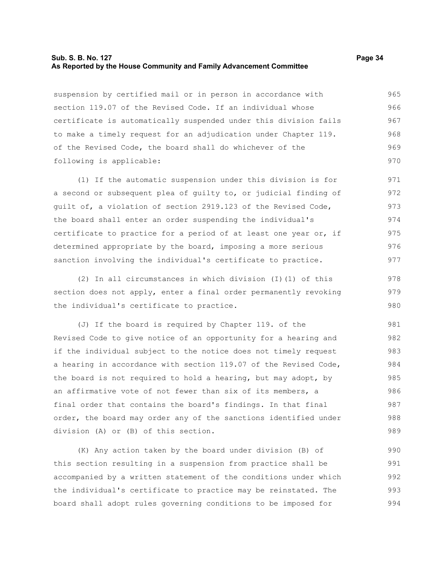## **Sub. S. B. No. 127 Page 34 As Reported by the House Community and Family Advancement Committee**

suspension by certified mail or in person in accordance with section 119.07 of the Revised Code. If an individual whose certificate is automatically suspended under this division fails to make a timely request for an adjudication under Chapter 119. of the Revised Code, the board shall do whichever of the following is applicable: 965 966 967 968 969 970

(1) If the automatic suspension under this division is for a second or subsequent plea of guilty to, or judicial finding of guilt of, a violation of section 2919.123 of the Revised Code, the board shall enter an order suspending the individual's certificate to practice for a period of at least one year or, if determined appropriate by the board, imposing a more serious sanction involving the individual's certificate to practice. 971 972 973 974 975 976 977

(2) In all circumstances in which division (I)(1) of this section does not apply, enter a final order permanently revoking the individual's certificate to practice. 978 979 980

(J) If the board is required by Chapter 119. of the Revised Code to give notice of an opportunity for a hearing and if the individual subject to the notice does not timely request a hearing in accordance with section 119.07 of the Revised Code, the board is not required to hold a hearing, but may adopt, by an affirmative vote of not fewer than six of its members, a final order that contains the board's findings. In that final order, the board may order any of the sanctions identified under division (A) or (B) of this section. 981 982 983 984 985 986 987 988 989

(K) Any action taken by the board under division (B) of this section resulting in a suspension from practice shall be accompanied by a written statement of the conditions under which the individual's certificate to practice may be reinstated. The board shall adopt rules governing conditions to be imposed for 990 991 992 993 994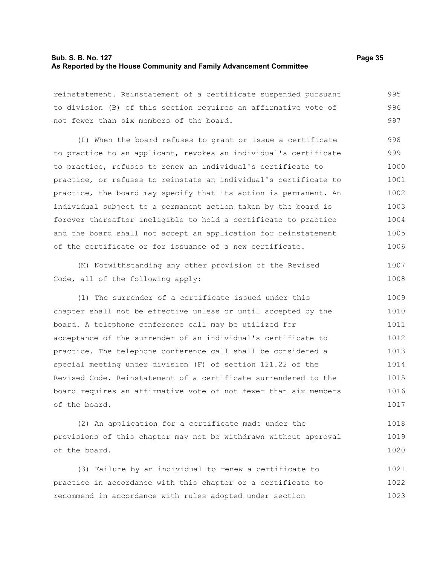## **Sub. S. B. No. 127 Page 35 As Reported by the House Community and Family Advancement Committee**

reinstatement. Reinstatement of a certificate suspended pursuant to division (B) of this section requires an affirmative vote of not fewer than six members of the board. 995 996 997

(L) When the board refuses to grant or issue a certificate to practice to an applicant, revokes an individual's certificate to practice, refuses to renew an individual's certificate to practice, or refuses to reinstate an individual's certificate to practice, the board may specify that its action is permanent. An individual subject to a permanent action taken by the board is forever thereafter ineligible to hold a certificate to practice and the board shall not accept an application for reinstatement of the certificate or for issuance of a new certificate. 998 999 1000 1001 1002 1003 1004 1005 1006

(M) Notwithstanding any other provision of the Revised Code, all of the following apply: 1007 1008

(1) The surrender of a certificate issued under this chapter shall not be effective unless or until accepted by the board. A telephone conference call may be utilized for acceptance of the surrender of an individual's certificate to practice. The telephone conference call shall be considered a special meeting under division (F) of section 121.22 of the Revised Code. Reinstatement of a certificate surrendered to the board requires an affirmative vote of not fewer than six members of the board. 1009 1010 1011 1012 1013 1014 1015 1016 1017

(2) An application for a certificate made under the provisions of this chapter may not be withdrawn without approval of the board. 1018 1019 1020

(3) Failure by an individual to renew a certificate to practice in accordance with this chapter or a certificate to recommend in accordance with rules adopted under section 1021 1022 1023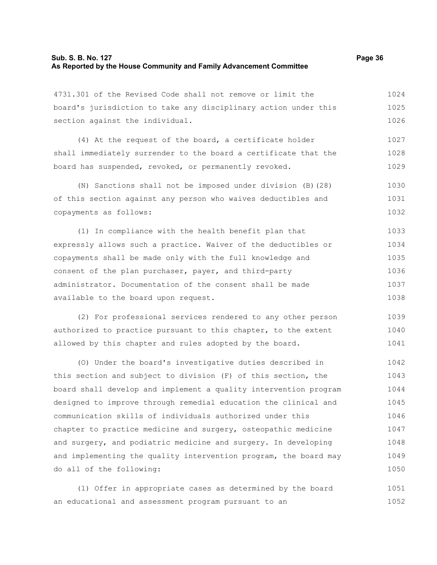| 4731.301 of the Revised Code shall not remove or limit the       | 1024 |
|------------------------------------------------------------------|------|
| board's jurisdiction to take any disciplinary action under this  | 1025 |
| section against the individual.                                  | 1026 |
| (4) At the request of the board, a certificate holder            | 1027 |
| shall immediately surrender to the board a certificate that the  | 1028 |
| board has suspended, revoked, or permanently revoked.            | 1029 |
| (N) Sanctions shall not be imposed under division (B) (28)       | 1030 |
| of this section against any person who waives deductibles and    | 1031 |
| copayments as follows:                                           | 1032 |
| (1) In compliance with the health benefit plan that              | 1033 |
| expressly allows such a practice. Waiver of the deductibles or   | 1034 |
| copayments shall be made only with the full knowledge and        | 1035 |
| consent of the plan purchaser, payer, and third-party            | 1036 |
| administrator. Documentation of the consent shall be made        | 1037 |
| available to the board upon request.                             | 1038 |
| (2) For professional services rendered to any other person       | 1039 |
| authorized to practice pursuant to this chapter, to the extent   | 1040 |
| allowed by this chapter and rules adopted by the board.          | 1041 |
| (O) Under the board's investigative duties described in          | 1042 |
| this section and subject to division (F) of this section, the    | 1043 |
| board shall develop and implement a quality intervention program | 1044 |
| designed to improve through remedial education the clinical and  | 1045 |
| communication skills of individuals authorized under this        | 1046 |
| chapter to practice medicine and surgery, osteopathic medicine   | 1047 |
| and surgery, and podiatric medicine and surgery. In developing   | 1048 |
| and implementing the quality intervention program, the board may | 1049 |
| do all of the following:                                         | 1050 |

(1) Offer in appropriate cases as determined by the board an educational and assessment program pursuant to an 1051 1052